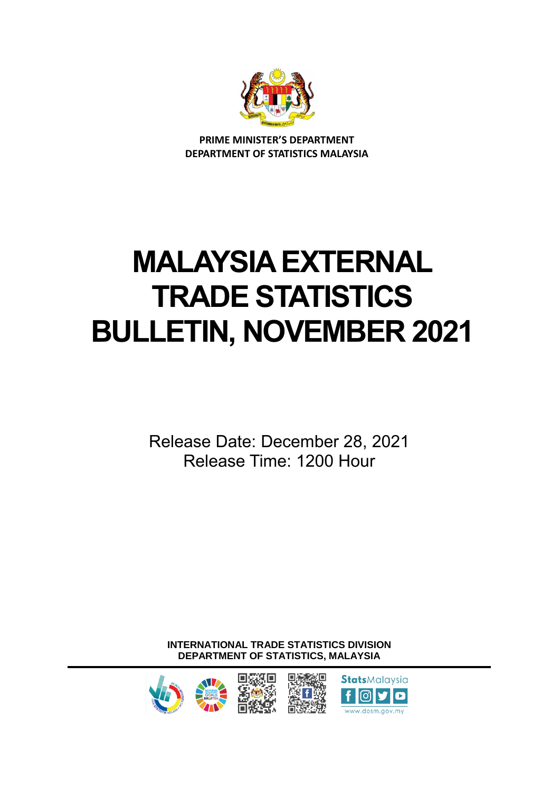

**PRIME MINISTER'S DEPARTMENT DEPARTMENT OF STATISTICS MALAYSIA**

# **MALAYSIA EXTERNAL TRADE STATISTICS BULLETIN, NOVEMBER 2021**

Release Date: December 28, 2021 Release Time: 1200 Hour

**INTERNATIONAL TRADE STATISTICS DIVISION DEPARTMENT OF STATISTICS, MALAYSIA**



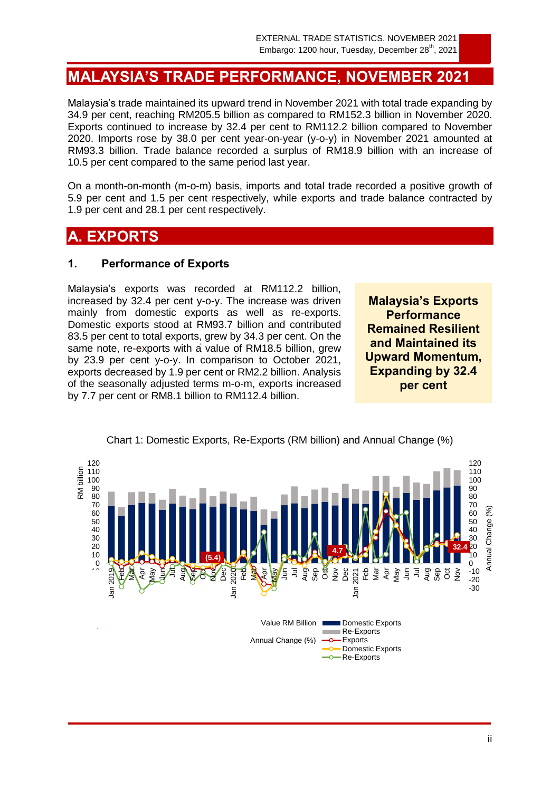# **MALAYSIA'S TRADE PERFORMANCE, NOVEMBER 2021**

Malaysia's trade maintained its upward trend in November 2021 with total trade expanding by 34.9 per cent, reaching RM205.5 billion as compared to RM152.3 billion in November 2020. Exports continued to increase by 32.4 per cent to RM112.2 billion compared to November 2020. Imports rose by 38.0 per cent year-on-year (y-o-y) in November 2021 amounted at RM93.3 billion. Trade balance recorded a surplus of RM18.9 billion with an increase of 10.5 per cent compared to the same period last year.

On a month-on-month (m-o-m) basis, imports and total trade recorded a positive growth of 5.9 per cent and 1.5 per cent respectively, while exports and trade balance contracted by 1.9 per cent and 28.1 per cent respectively.

# **A. EXPORTS**

#### **1. Performance of Exports**

Malaysia's exports was recorded at RM112.2 billion, increased by 32.4 per cent y-o-y. The increase was driven mainly from domestic exports as well as re-exports. Domestic exports stood at RM93.7 billion and contributed 83.5 per cent to total exports, grew by 34.3 per cent. On the same note, re-exports with a value of RM18.5 billion, grew by 23.9 per cent y-o-y. In comparison to October 2021, exports decreased by 1.9 per cent or RM2.2 billion. Analysis of the seasonally adjusted terms m-o-m, exports increased by 7.7 per cent or RM8.1 billion to RM112.4 billion.

**Malaysia's Exports Performance Remained Resilient and Maintained its Upward Momentum, Expanding by 32.4 per cent**



Chart 1: Domestic Exports, Re-Exports (RM billion) and Annual Change (%)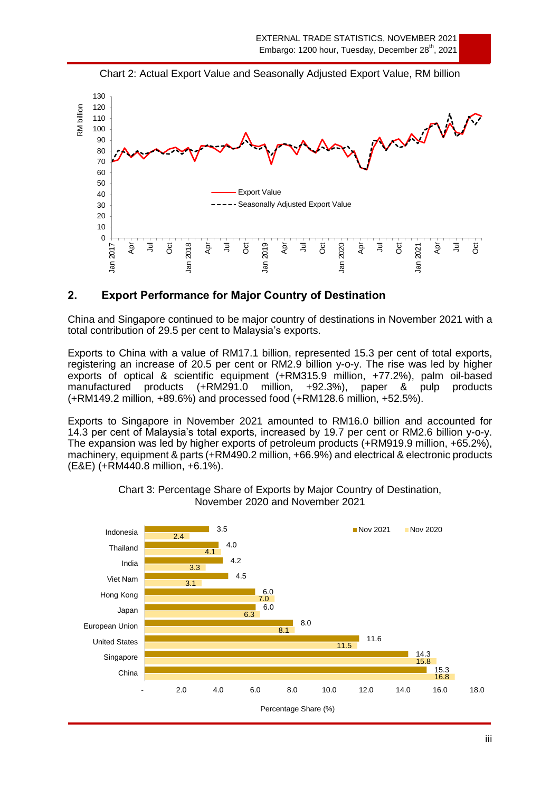

Chart 2: Actual Export Value and Seasonally Adjusted Export Value, RM billion

## **2. Export Performance for Major Country of Destination**

China and Singapore continued to be major country of destinations in November 2021 with a total contribution of 29.5 per cent to Malaysia's exports.

Exports to China with a value of RM17.1 billion, represented 15.3 per cent of total exports, registering an increase of 20.5 per cent or RM2.9 billion y-o-y. The rise was led by higher exports of optical & scientific equipment (+RM315.9 million, +77.2%), palm oil-based manufactured products (+RM291.0 million, +92.3%), paper & pulp products (+RM149.2 million, +89.6%) and processed food (+RM128.6 million, +52.5%).

Exports to Singapore in November 2021 amounted to RM16.0 billion and accounted for 14.3 per cent of Malaysia's total exports, increased by 19.7 per cent or RM2.6 billion y-o-y. The expansion was led by higher exports of petroleum products (+RM919.9 million, +65.2%), machinery, equipment & parts (+RM490.2 million, +66.9%) and electrical & electronic products (E&E) (+RM440.8 million, +6.1%).



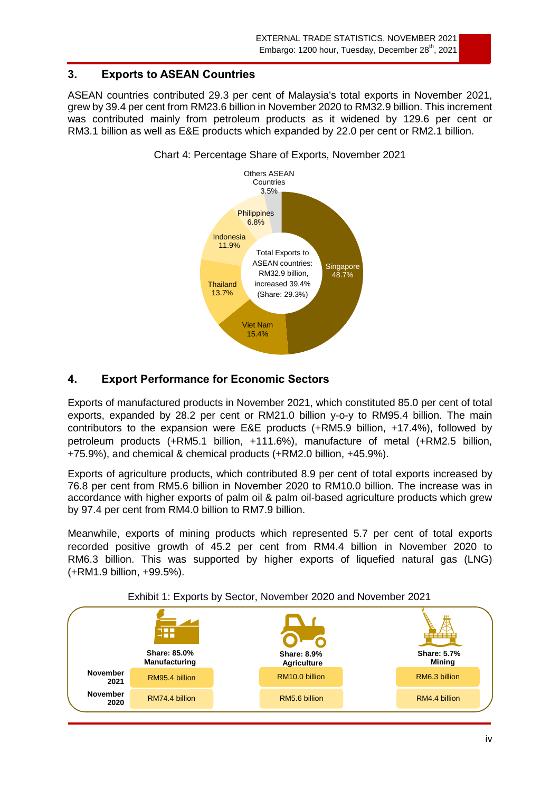## **3. Exports to ASEAN Countries**

ASEAN countries contributed 29.3 per cent of Malaysia's total exports in November 2021, grew by 39.4 per cent from RM23.6 billion in November 2020 to RM32.9 billion. This increment was contributed mainly from petroleum products as it widened by 129.6 per cent or RM3.1 billion as well as E&E products which expanded by 22.0 per cent or RM2.1 billion.



#### Chart 4: Percentage Share of Exports, November 2021

# **4. Export Performance for Economic Sectors**

Exports of manufactured products in November 2021, which constituted 85.0 per cent of total exports, expanded by 28.2 per cent or RM21.0 billion y-o-y to RM95.4 billion. The main contributors to the expansion were E&E products (+RM5.9 billion, +17.4%), followed by petroleum products (+RM5.1 billion, +111.6%), manufacture of metal (+RM2.5 billion, +75.9%), and chemical & chemical products (+RM2.0 billion, +45.9%).

Exports of agriculture products, which contributed 8.9 per cent of total exports increased by 76.8 per cent from RM5.6 billion in November 2020 to RM10.0 billion. The increase was in accordance with higher exports of palm oil & palm oil-based agriculture products which grew by 97.4 per cent from RM4.0 billion to RM7.9 billion.

Meanwhile, exports of mining products which represented 5.7 per cent of total exports recorded positive growth of 45.2 per cent from RM4.4 billion in November 2020 to RM6.3 billion. This was supported by higher exports of liquefied natural gas (LNG) (+RM1.9 billion, +99.5%).



Exhibit 1: Exports by Sector, November 2020 and November 2021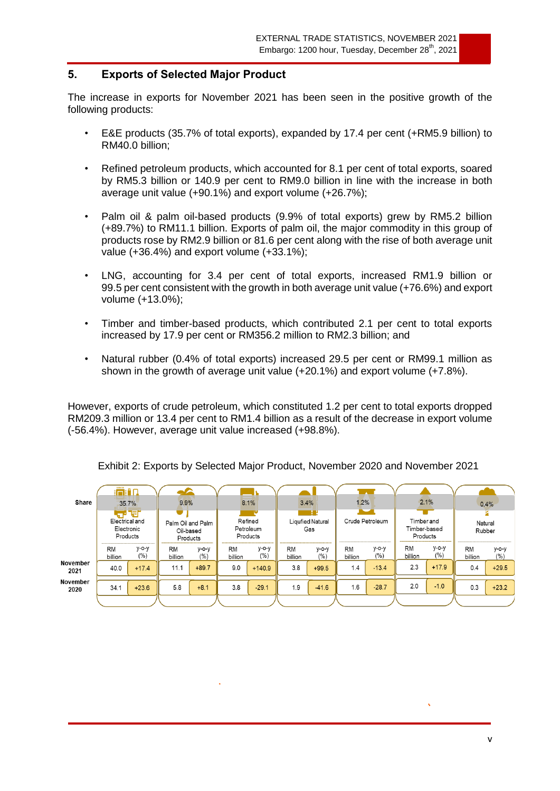#### **5. Exports of Selected Major Product**

The increase in exports for November 2021 has been seen in the positive growth of the following products:

- E&E products (35.7% of total exports), expanded by 17.4 per cent (+RM5.9 billion) to RM40.0 billion;
- Refined petroleum products, which accounted for 8.1 per cent of total exports, soared by RM5.3 billion or 140.9 per cent to RM9.0 billion in line with the increase in both average unit value (+90.1%) and export volume (+26.7%);
- Palm oil & palm oil-based products (9.9% of total exports) grew by RM5.2 billion (+89.7%) to RM11.1 billion. Exports of palm oil, the major commodity in this group of products rose by RM2.9 billion or 81.6 per cent along with the rise of both average unit value (+36.4%) and export volume (+33.1%);
- LNG, accounting for 3.4 per cent of total exports, increased RM1.9 billion or 99.5 per cent consistent with the growth in both average unit value (+76.6%) and export volume (+13.0%);
- Timber and timber-based products, which contributed 2.1 per cent to total exports increased by 17.9 per cent or RM356.2 million to RM2.3 billion; and
- Natural rubber (0.4% of total exports) increased 29.5 per cent or RM99.1 million as shown in the growth of average unit value (+20.1%) and export volume (+7.8%).

However, exports of crude petroleum, which constituted 1.2 per cent to total exports dropped RM209.3 million or 13.4 per cent to RM1.4 billion as a result of the decrease in export volume (-56.4%). However, average unit value increased (+98.8%).

|                  | :m:An                                                                                        |                 |                      |                                  |               |                         |               |                 |               |                                        |                      |                   |               |                  |
|------------------|----------------------------------------------------------------------------------------------|-----------------|----------------------|----------------------------------|---------------|-------------------------|---------------|-----------------|---------------|----------------------------------------|----------------------|-------------------|---------------|------------------|
| Share            | 35.7%                                                                                        |                 | 9.9%                 |                                  |               | 8.1%                    |               | 1.2%<br>3.4%    |               | 2.1%                                   |                      | 0.4%              |               |                  |
|                  | 吊帽<br>Electrical and<br>Palm Oil and Palm<br>Electronic<br>Oil-based<br>Products<br>Products |                 |                      | Refined<br>Petroleum<br>Products |               | Liqufied Natural<br>Gas |               | Crude Petroleum |               | Timber and<br>Timber-based<br>Products |                      | Natural<br>Rubber |               |                  |
|                  | <b>RM</b><br>billion                                                                         | $y$ -o-y<br>(%) | <b>RM</b><br>billion | $y$ -o-y<br>(% )                 | RM<br>billion | $y$ -o-y<br>(% )        | RM<br>billion | $y$ -o-y<br>(%) | RM<br>billion | $y$ -o-y<br>(%)                        | <b>RM</b><br>billion | $y$ -o-y<br>(% )  | RM<br>billion | $y$ -o-y<br>(% ) |
| November<br>2021 | 40.0                                                                                         | $+17.4$         | 11.1                 | $+89.7$                          | 9.0           | $+140.9$                | 3.8           | $+99.5$         | 1.4           | $-13.4$                                | 2.3                  | $+17.9$           | 0.4           | $+29.5$          |
| November<br>2020 | 34.1                                                                                         | $+23.6$         | 5.8                  | $+8.1$                           | 3.8           | $-29.1$                 | 1.9           | $-41.6$         | 1.6           | $-28.7$                                | 2.0                  | $-1.0$            | 0.3           | $+23.2$          |
|                  |                                                                                              |                 |                      |                                  |               |                         |               |                 |               |                                        |                      |                   |               |                  |

Exhibit 2: Exports by Selected Major Product, November 2020 and November 2021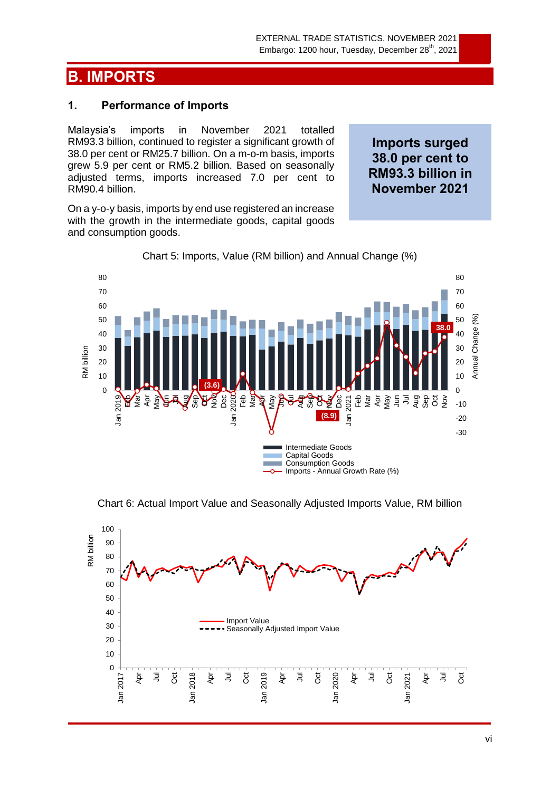# **B. IMPORTS**

## **1. Performance of Imports**

Malaysia's imports in November 2021 totalled RM93.3 billion, continued to register a significant growth of 38.0 per cent or RM25.7 billion. On a m-o-m basis, imports grew 5.9 per cent or RM5.2 billion. Based on seasonally adjusted terms, imports increased 7.0 per cent to RM90.4 billion.

On a y-o-y basis, imports by end use registered an increase with the growth in the intermediate goods, capital goods and consumption goods.

**Imports surged 38.0 per cent to RM93.3 billion in November 2021**





Chart 6: Actual Import Value and Seasonally Adjusted Imports Value, RM billion

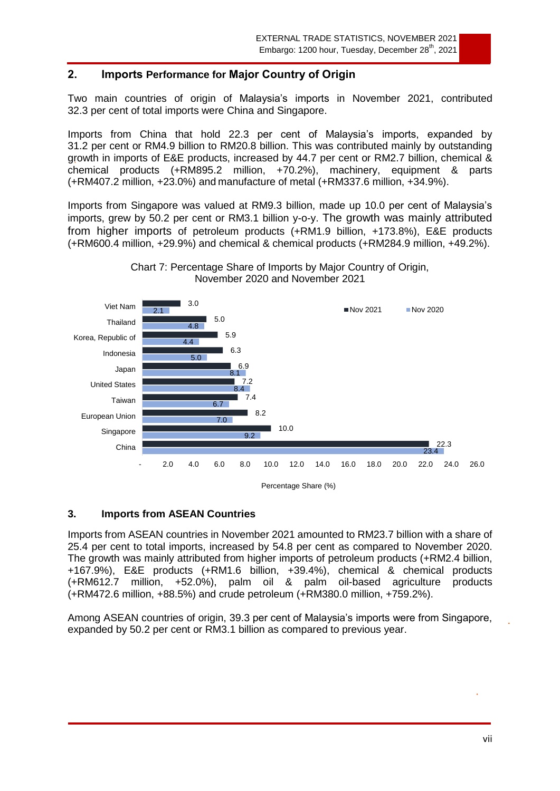## **2. Imports Performance for Major Country of Origin**

Two main countries of origin of Malaysia's imports in November 2021, contributed 32.3 per cent of total imports were China and Singapore.

Imports from China that hold 22.3 per cent of Malaysia's imports, expanded by 31.2 per cent or RM4.9 billion to RM20.8 billion. This was contributed mainly by outstanding growth in imports of E&E products, increased by 44.7 per cent or RM2.7 billion, chemical & chemical products (+RM895.2 million, +70.2%), machinery, equipment & parts (+RM407.2 million, +23.0%) and manufacture of metal (+RM337.6 million, +34.9%).

Imports from Singapore was valued at RM9.3 billion, made up 10.0 per cent of Malaysia's imports, grew by 50.2 per cent or RM3.1 billion y-o-y. The growth was mainly attributed from higher imports of petroleum products (+RM1.9 billion, +173.8%), E&E products (+RM600.4 million, +29.9%) and chemical & chemical products (+RM284.9 million, +49.2%).



Chart 7: Percentage Share of Imports by Major Country of Origin, November 2020 and November 2021

#### **3. Imports from ASEAN Countries**

Imports from ASEAN countries in November 2021 amounted to RM23.7 billion with a share of 25.4 per cent to total imports, increased by 54.8 per cent as compared to November 2020. The growth was mainly attributed from higher imports of petroleum products (+RM2.4 billion, +167.9%), E&E products (+RM1.6 billion, +39.4%), chemical & chemical products (+RM612.7 million, +52.0%), palm oil & palm oil-based agriculture products (+RM472.6 million, +88.5%) and crude petroleum (+RM380.0 million, +759.2%).

Among ASEAN countries of origin, 39.3 per cent of Malaysia's imports were from Singapore, expanded by 50.2 per cent or RM3.1 billion as compared to previous year.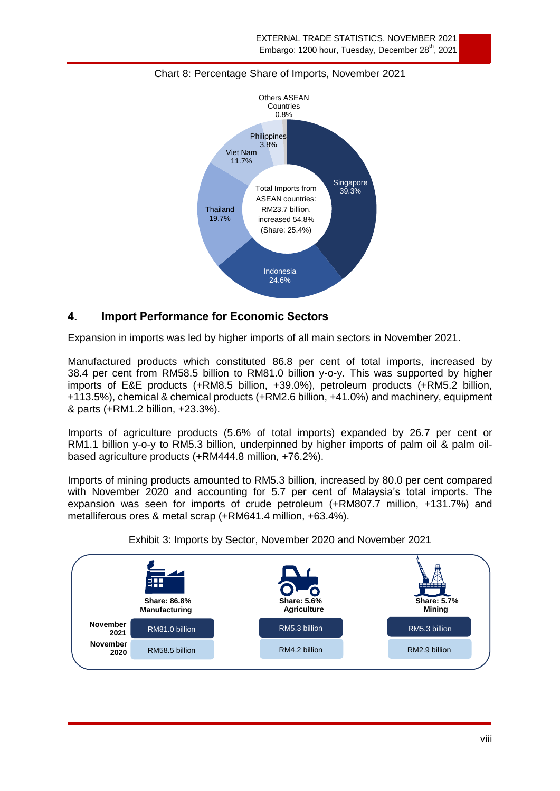

#### Chart 8: Percentage Share of Imports, November 2021

## **4. Import Performance for Economic Sectors**

Expansion in imports was led by higher imports of all main sectors in November 2021.

Manufactured products which constituted 86.8 per cent of total imports, increased by 38.4 per cent from RM58.5 billion to RM81.0 billion y-o-y. This was supported by higher imports of E&E products (+RM8.5 billion, +39.0%), petroleum products (+RM5.2 billion, +113.5%), chemical & chemical products (+RM2.6 billion, +41.0%) and machinery, equipment & parts (+RM1.2 billion, +23.3%).

Imports of agriculture products (5.6% of total imports) expanded by 26.7 per cent or RM1.1 billion y-o-y to RM5.3 billion, underpinned by higher imports of palm oil & palm oilbased agriculture products (+RM444.8 million, +76.2%).

Imports of mining products amounted to RM5.3 billion, increased by 80.0 per cent compared with November 2020 and accounting for 5.7 per cent of Malaysia's total imports. The expansion was seen for imports of crude petroleum (+RM807.7 million, +131.7%) and metalliferous ores & metal scrap (+RM641.4 million, +63.4%).



Exhibit 3: Imports by Sector, November 2020 and November 2021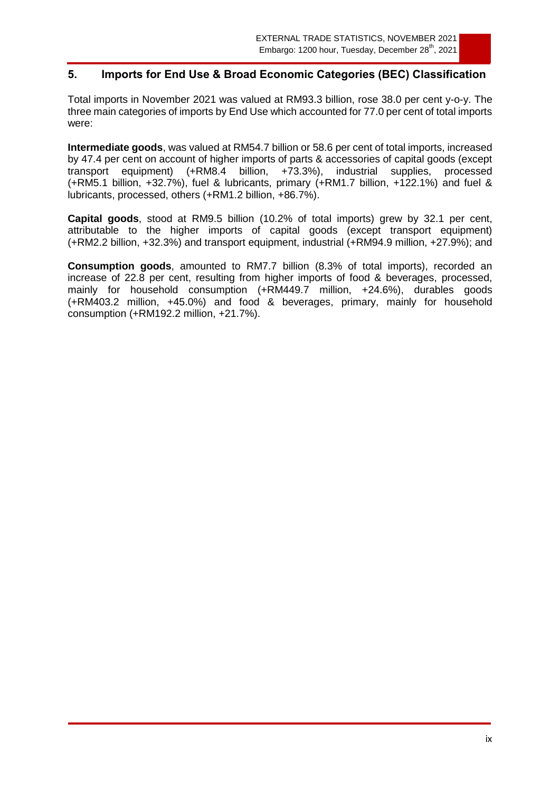## **5. Imports for End Use & Broad Economic Categories (BEC) Classification**

Total imports in November 2021 was valued at RM93.3 billion, rose 38.0 per cent y-o-y. The three main categories of imports by End Use which accounted for 77.0 per cent of total imports were:

**Intermediate goods**, was valued at RM54.7 billion or 58.6 per cent of total imports, increased by 47.4 per cent on account of higher imports of parts & accessories of capital goods (except transport equipment) (+RM8.4 billion, +73.3%), industrial supplies, processed (+RM5.1 billion, +32.7%), fuel & lubricants, primary (+RM1.7 billion, +122.1%) and fuel & lubricants, processed, others (+RM1.2 billion, +86.7%).

**Capital goods**, stood at RM9.5 billion (10.2% of total imports) grew by 32.1 per cent, attributable to the higher imports of capital goods (except transport equipment) (+RM2.2 billion, +32.3%) and transport equipment, industrial (+RM94.9 million, +27.9%); and

**Consumption goods**, amounted to RM7.7 billion (8.3% of total imports), recorded an increase of 22.8 per cent, resulting from higher imports of food & beverages, processed, mainly for household consumption (+RM449.7 million, +24.6%), durables goods (+RM403.2 million, +45.0%) and food & beverages, primary, mainly for household consumption (+RM192.2 million, +21.7%).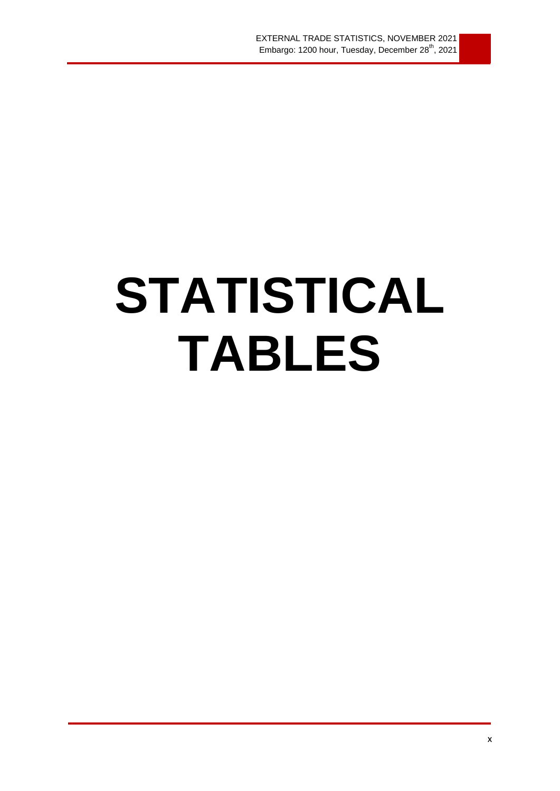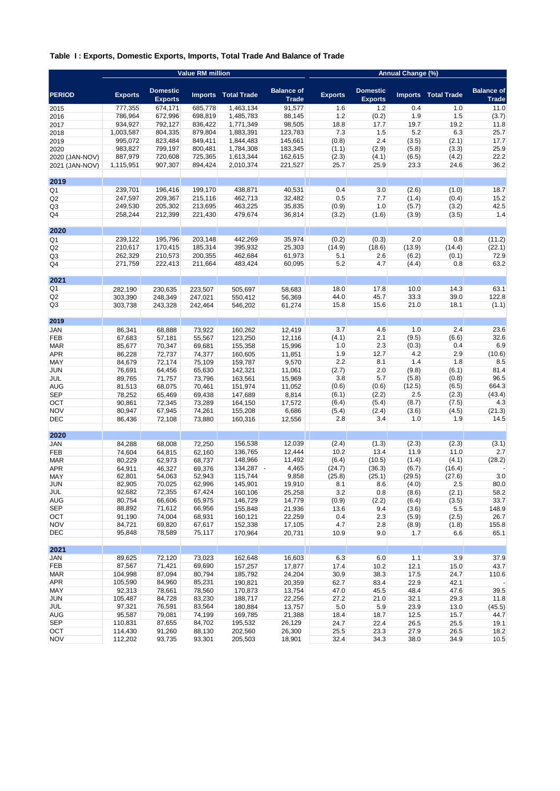#### **Table I : Exports, Domestic Exports, Imports, Total Trade And Balance of Trade**

|                   |                  |                                   | <b>Value RM million</b> |                    |                                   |                |                                   | Annual Change (%) |                    |                                   |
|-------------------|------------------|-----------------------------------|-------------------------|--------------------|-----------------------------------|----------------|-----------------------------------|-------------------|--------------------|-----------------------------------|
| <b>PERIOD</b>     | Exports          | <b>Domestic</b><br><b>Exports</b> | <b>Imports</b>          | <b>Total Trade</b> | <b>Balance of</b><br><b>Trade</b> | <b>Exports</b> | <b>Domestic</b><br><b>Exports</b> | <b>Imports</b>    | <b>Total Trade</b> | <b>Balance of</b><br><b>Trade</b> |
| 2015              | 777,355          | 674,171                           | 685,778                 | 1,463,134          | 91,577                            | 1.6            | 1.2                               | 0.4               | 1.0                | 11.0                              |
| 2016              | 786,964          | 672,996                           | 698,819                 | 1,485,783          | 88,145                            | 1.2            | (0.2)                             | 1.9               | 1.5                | (3.7)                             |
| 2017              | 934.927          | 792.127                           | 836,422                 | 1,771,349          | 98,505                            | 18.8           | 17.7                              | 19.7              | 19.2               | 11.8                              |
| 2018              | 1,003,587        | 804,335                           | 879,804                 | 1,883,391          | 123,783                           | 7.3            | 1.5                               | 5.2               | 6.3                | 25.7                              |
| 2019              | 995,072          | 823,484                           | 849,411                 | 1,844,483          | 145,661                           | (0.8)          | 2.4                               | (3.5)             | (2.1)              | 17.7                              |
| 2020              | 983,827          | 799,197                           | 800,481                 | 1,784,308          | 183,345                           | (1.1)          | (2.9)                             | (5.8)             | (3.3)              | 25.9                              |
| 2020 (JAN-NOV)    | 887,979          | 720,608                           | 725,365                 | 1,613,344          | 162,615                           | (2.3)          | (4.1)                             | (6.5)             | (4.2)              | 22.2                              |
| 2021 (JAN-NOV)    | 1,115,951        | 907,307                           | 894,424                 | 2,010,374          | 221,527                           | 25.7           | 25.9                              | 23.3              | 24.6               | 36.2                              |
| 2019              |                  |                                   |                         |                    |                                   |                |                                   |                   |                    |                                   |
| Q1                | 239,701          | 196,416                           | 199,170                 | 438,871            | 40,531                            | 0.4            | 3.0                               | (2.6)             | (1.0)              | 18.7                              |
| Q2                | 247,597          | 209,367                           | 215,116                 | 462,713            | 32,482                            | 0.5            | 7.7                               | (1.4)             | (0.4)              | 15.2                              |
| Q3                | 249,530          | 205,302                           | 213,695                 | 463,225            | 35,835                            | (0.9)          | 1.0                               | (5.7)             | (3.2)              | 42.5                              |
| Q4                | 258,244          | 212,399                           | 221,430                 | 479,674            | 36,814                            | (3.2)          | (1.6)                             | (3.9)             | (3.5)              | 1.4                               |
|                   |                  |                                   |                         |                    |                                   |                |                                   |                   |                    |                                   |
| 2020              |                  |                                   |                         |                    |                                   |                |                                   |                   |                    |                                   |
| Q1                | 239,122          | 195,796                           | 203,148                 | 442,269            | 35,974                            | (0.2)          | (0.3)                             | 2.0               | 0.8                | (11.2)                            |
| Q <sub>2</sub>    | 210,617          | 170,415                           | 185,314                 | 395,932            | 25,303                            | (14.9)         | (18.6)                            | (13.9)            | (14.4)             | (22.1)                            |
| Q3                | 262,329          | 210,573                           | 200,355                 | 462,684            | 61,973                            | 5.1            | 2.6                               | (6.2)             | (0.1)              | 72.9                              |
| Q4                | 271,759          | 222,413                           | 211,664                 | 483,424            | 60,095                            | 5.2            | 4.7                               | (4.4)             | 0.8                | 63.2                              |
| 2021              |                  |                                   |                         |                    |                                   |                |                                   |                   |                    |                                   |
| Q1                | 282,190          | 230,635                           | 223,507                 | 505,697            | 58,683                            | 18.0           | 17.8                              | 10.0              | 14.3               | 63.1                              |
| Q2                | 303,390          | 248,349                           | 247,021                 | 550,412            | 56,369                            | 44.0           | 45.7                              | 33.3              | 39.0               | 122.8                             |
| Q3                | 303,738          | 243,328                           | 242,464                 | 546,202            | 61,274                            | 15.8           | 15.6                              | 21.0              | 18.1               | (1.1)                             |
| 2019              |                  |                                   |                         |                    |                                   |                |                                   |                   |                    |                                   |
| JAN               | 86,341           | 68,888                            | 73,922                  | 160,262            | 12,419                            | 3.7            | 4.6                               | 1.0               | 2.4                | 23.6                              |
| FEB               | 67,683           | 57,181                            | 55,567                  | 123,250            | 12,116                            | (4.1)          | 2.1                               | (9.5)             | (6.6)              | 32.6                              |
| <b>MAR</b>        |                  |                                   |                         |                    | 15,996                            | 1.0            | 2.3                               | (0.3)             | 0.4                | 6.9                               |
|                   | 85,677           | 70,347                            | 69,681                  | 155,358            |                                   | 1.9            | 12.7                              | 4.2               | 2.9                | (10.6)                            |
| <b>APR</b>        | 86,228           | 72,737                            | 74,377                  | 160,605            | 11,851<br>9,570                   | 2.2            | 8.1                               | 1.4               | 1.8                | 8.5                               |
| MAY               | 84,679           | 72,174                            | 75,109                  | 159,787            |                                   | (2.7)          | 2.0                               | (9.8)             | (6.1)              | 81.4                              |
| JUN<br>JUL        | 76,691           | 64,456                            | 65,630                  | 142,321            | 11,061<br>15,969                  | 3.8            | 5.7                               | (5.8)             | (0.8)              | 96.5                              |
|                   | 89,765           | 71,757                            | 73,796                  | 163,561            | 11,052                            | (0.6)          | (0.6)                             | (12.5)            | (6.5)              | 664.3                             |
| AUG<br><b>SEP</b> | 81,513           | 68,075                            | 70,461                  | 151,974            |                                   | (6.1)          |                                   | 2.5               |                    |                                   |
|                   | 78,252           | 65,469                            | 69,438                  | 147,689            | 8,814                             | (6.4)          | (2.2)                             | (8.7)             | (2.3)              | (43.4)<br>4.3                     |
| ОСТ<br><b>NOV</b> | 90,861           | 72,345                            | 73,289                  | 164,150            | 17,572                            | (5.4)          | (5.4)                             | (3.6)             | (7.5)              | (21.3)                            |
| <b>DEC</b>        | 80,947<br>86,436 | 67,945<br>72,108                  | 74,261<br>73,880        | 155,208<br>160,316 | 6,686<br>12,556                   | 2.8            | (2.4)<br>3.4                      | 1.0               | (4.5)<br>1.9       | 14.5                              |
|                   |                  |                                   |                         |                    |                                   |                |                                   |                   |                    |                                   |
| 2020              |                  |                                   |                         |                    |                                   |                |                                   |                   |                    |                                   |
| JAN               | 84,288           | 68,008                            | 72,250                  | 156,538            | 12,039                            | (2.4)          | (1.3)                             | (2.3)             | (2.3)              | (3.1)                             |
| FEB               | 74,604           | 64,815                            | 62,160                  | 136,765            | 12,444                            | 10.2           | 13.4                              | 11.9              | 11.0               | 2.7                               |
| <b>MAR</b>        | 80,229           | 62,973                            | 68,737                  | 148,966            | 11,492                            | (6.4)          | (10.5)                            | (1.4)             | (4.1)              | (28.2)                            |
| APR               | 64,911           | 46,327                            | 69,376                  | 134,287 -          | 4,465                             | (24.7)         | (36.3)                            | (6.7)             | (16.4)             |                                   |
| MAY               | 62,801           | 54,063                            | 52,943                  | 115,744            | 9,858                             | (25.8)         | (25.1)                            | (29.5)            | (27.6)             | 3.0                               |
| JUN               | 82,905           | 70,025                            | 62,996                  | 145,901            | 19,910                            | 8.1            | 8.6                               | (4.0)             | 2.5                | 80.0                              |
| JUL               | 92,682           | 72,355                            | 67,424                  | 160,106            | 25,258                            | 3.2            | 0.8                               | (8.6)             | (2.1)              | 58.2                              |
| <b>AUG</b>        | 80,754           | 66,606                            | 65,975                  | 146,729            | 14,779                            | (0.9)          | (2.2)                             | (6.4)             | (3.5)              | 33.7                              |
| <b>SEP</b>        | 88,892           | 71,612                            | 66,956                  | 155,848            | 21,936                            | 13.6           | 9.4                               | (3.6)             | 5.5                | 148.9                             |
| OCT               | 91,190           | 74,004                            | 68,931                  | 160,121            | 22,259                            | 0.4            | 2.3                               | (5.9)             | (2.5)              | 26.7                              |
| <b>NOV</b>        | 84,721           | 69,820                            | 67,617                  | 152,338            | 17,105                            | 4.7            | 2.8                               | (8.9)             | (1.8)              | 155.8                             |
| DEC               | 95,848           | 78,589                            | 75,117                  | 170,964            | 20,731                            | 10.9           | 9.0                               | 1.7               | 6.6                | 65.1                              |
| 2021              |                  |                                   |                         |                    |                                   |                |                                   |                   |                    |                                   |
| JAN               | 89,625           | 72,120                            | 73,023                  | 162,648            | 16,603                            | 6.3            | 6.0                               | 1.1               | 3.9                | 37.9                              |
| FEB               | 87,567           | 71,421                            | 69,690                  | 157,257            | 17,877                            | 17.4           | 10.2                              | 12.1              | 15.0               | 43.7                              |
| <b>MAR</b>        | 104,998          | 87,094                            | 80,794                  | 185,792            | 24,204                            | 30.9           | 38.3                              | 17.5              | 24.7               | 110.6                             |
| <b>APR</b>        | 105,590          | 84,960                            | 85,231                  | 190,821            | 20,359                            | 62.7           | 83.4                              | 22.9              | 42.1               |                                   |
| MAY               | 92,313           | 78,661                            | 78,560                  | 170,873            | 13,754                            | 47.0           | 45.5                              | 48.4              | 47.6               | 39.5                              |
| <b>JUN</b>        | 105,487          | 84,728                            | 83,230                  | 188,717            | 22,256                            | 27.2           | 21.0                              | 32.1              | 29.3               | 11.8                              |
| JUL               | 97,321           | 76,591                            | 83,564                  | 180,884            | 13,757                            | $5.0\,$        | 5.9                               | 23.9              | 13.0               | (45.5)                            |
| AUG               | 95,587           | 79,081                            | 74,199                  | 169,785            | 21,388                            | 18.4           | 18.7                              | 12.5              | 15.7               | 44.7                              |
| <b>SEP</b>        | 110,831          | 87,655                            | 84,702                  | 195,532            | 26,129                            | 24.7           | 22.4                              | 26.5              | 25.5               | 19.1                              |
| OCT               | 114,430          | 91,260                            | 88,130                  | 202,560            | 26,300                            | 25.5           | 23.3                              | 27.9              | 26.5               | 18.2                              |
| <b>NOV</b>        | 112,202          | 93,735                            | 93,301                  | 205,503            | 18,901                            | 32.4           | 34.3                              | 38.0              | 34.9               | 10.5                              |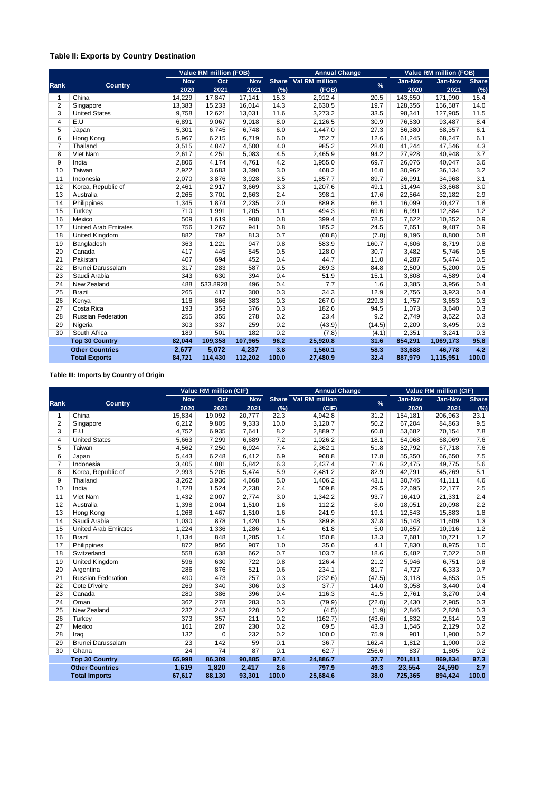#### **Table II: Exports by Country Destination**

|                |                             |            | <b>Value RM million (FOB)</b> |            |       | <b>Annual Change</b> |               | <b>Value RM million (FOB)</b> |           |              |
|----------------|-----------------------------|------------|-------------------------------|------------|-------|----------------------|---------------|-------------------------------|-----------|--------------|
|                |                             | <b>Nov</b> | Oct                           | <b>Nov</b> |       | Share Val RM million | $\frac{9}{6}$ | Jan-Nov                       | Jan-Nov   | <b>Share</b> |
| <b>Rank</b>    | <b>Country</b>              | 2020       | 2021                          | 2021       | (%)   | (FOB)                |               | 2020                          | 2021      | (%)          |
| $\mathbf{1}$   | China                       | 14,229     | 17,847                        | 17,141     | 15.3  | 2,912.4              | 20.5          | 143,650                       | 171,990   | 15.4         |
| $\overline{2}$ | Singapore                   | 13,383     | 15,233                        | 16,014     | 14.3  | 2,630.5              | 19.7          | 128,356                       | 156,587   | 14.0         |
| 3              | <b>United States</b>        | 9,758      | 12,621                        | 13,031     | 11.6  | 3,273.2              | 33.5          | 98,341                        | 127,905   | 11.5         |
| 4              | E.U                         | 6,891      | 9,067                         | 9,018      | 8.0   | 2,126.5              | 30.9          | 76,530                        | 93,487    | 8.4          |
| 5              | Japan                       | 5,301      | 6,745                         | 6,748      | 6.0   | 1,447.0              | 27.3          | 56,380                        | 68,357    | 6.1          |
| 6              | Hong Kong                   | 5,967      | 6,215                         | 6,719      | 6.0   | 752.7                | 12.6          | 61,245                        | 68,247    | 6.1          |
| $\overline{7}$ | Thailand                    | 3,515      | 4,847                         | 4,500      | 4.0   | 985.2                | 28.0          | 41,244                        | 47,546    | 4.3          |
| 8              | Viet Nam                    | 2,617      | 4,251                         | 5,083      | 4.5   | 2,465.9              | 94.2          | 27,928                        | 40,948    | 3.7          |
| 9              | India                       | 2,806      | 4,174                         | 4,761      | 4.2   | 1,955.0              | 69.7          | 26,076                        | 40,047    | 3.6          |
| 10             | Taiwan                      | 2,922      | 3,683                         | 3,390      | 3.0   | 468.2                | 16.0          | 30,962                        | 36,134    | 3.2          |
| 11             | Indonesia                   | 2,070      | 3,876                         | 3,928      | 3.5   | 1,857.7              | 89.7          | 26,991                        | 34,968    | 3.1          |
| 12             | Korea, Republic of          | 2,461      | 2,917                         | 3,669      | 3.3   | 1,207.6              | 49.1          | 31,494                        | 33,668    | 3.0          |
| 13             | Australia                   | 2,265      | 3,701                         | 2,663      | 2.4   | 398.1                | 17.6          | 22,564                        | 32,182    | 2.9          |
| 14             | Philippines                 | 1,345      | 1,874                         | 2,235      | 2.0   | 889.8                | 66.1          | 16,099                        | 20,427    | 1.8          |
| 15             | Turkey                      | 710        | 1,991                         | 1,205      | 1.1   | 494.3                | 69.6          | 6,991                         | 12,884    | 1.2          |
| 16             | Mexico                      | 509        | 1,619                         | 908        | 0.8   | 399.4                | 78.5          | 7,622                         | 10,352    | 0.9          |
| 17             | <b>United Arab Emirates</b> | 756        | 1,267                         | 941        | 0.8   | 185.2                | 24.5          | 7,651                         | 9,487     | 0.9          |
| 18             | United Kingdom              | 882        | 792                           | 813        | 0.7   | (68.8)               | (7.8)         | 9,196                         | 8,800     | 0.8          |
| 19             | Bangladesh                  | 363        | 1,221                         | 947        | 0.8   | 583.9                | 160.7         | 4,606                         | 8,719     | 0.8          |
| 20             | Canada                      | 417        | 445                           | 545        | 0.5   | 128.0                | 30.7          | 3,482                         | 5,746     | 0.5          |
| 21             | Pakistan                    | 407        | 694                           | 452        | 0.4   | 44.7                 | 11.0          | 4,287                         | 5,474     | 0.5          |
| 22             | Brunei Darussalam           | 317        | 283                           | 587        | 0.5   | 269.3                | 84.8          | 2,509                         | 5,200     | 0.5          |
| 23             | Saudi Arabia                | 343        | 630                           | 394        | 0.4   | 51.9                 | 15.1          | 3,808                         | 4,589     | 0.4          |
| 24             | New Zealand                 | 488        | 533.8928                      | 496        | 0.4   | 7.7                  | 1.6           | 3,385                         | 3,956     | 0.4          |
| 25             | <b>Brazil</b>               | 265        | 417                           | 300        | 0.3   | 34.3                 | 12.9          | 2,756                         | 3,923     | 0.4          |
| 26             | Kenya                       | 116        | 866                           | 383        | 0.3   | 267.0                | 229.3         | 1,757                         | 3,653     | 0.3          |
| 27             | Costa Rica                  | 193        | 353                           | 376        | 0.3   | 182.6                | 94.5          | 1,073                         | 3,640     | 0.3          |
| 28             | <b>Russian Federation</b>   | 255        | 355                           | 278        | 0.2   | 23.4                 | 9.2           | 2,749                         | 3,522     | 0.3          |
| 29             | Nigeria                     | 303        | 337                           | 259        | 0.2   | (43.9)               | (14.5)        | 2,209                         | 3,495     | 0.3          |
| 30             | South Africa                | 189        | 501                           | 182        | 0.2   | (7.8)                | (4.1)         | 2,351                         | 3,241     | 0.3          |
|                | <b>Top 30 Country</b>       | 82.044     | 109.358                       | 107,965    | 96.2  | 25,920.8             | 31.6          | 854,291                       | 1,069,173 | 95.8         |
|                | <b>Other Countries</b>      | 2,677      | 5.072                         | 4,237      | 3.8   | 1,560.1              | 58.3          | 33,688                        | 46,778    | 4.2          |
|                | <b>Total Exports</b>        | 84,721     | 114,430                       | 112,202    | 100.0 | 27,480.9             | 32.4          | 887,979                       | 1,115,951 | 100.0        |

**Table III: Imports by Country of Origin**

|                         |                             |            | <b>Value RM million (CIF)</b> |              |             | <b>Annual Change</b> |               | <b>Value RM million (CIF)</b> |                |              |
|-------------------------|-----------------------------|------------|-------------------------------|--------------|-------------|----------------------|---------------|-------------------------------|----------------|--------------|
|                         |                             | <b>Nov</b> | Oct                           | <b>Nov</b>   |             | Share Val RM million | $\frac{9}{6}$ | Jan-Nov                       | <b>Jan-Nov</b> | <b>Share</b> |
| Rank                    | <b>Country</b>              | 2020       |                               | 2021<br>2021 |             | (CIF)                |               | 2020                          | 2021           | (%)          |
| $\mathbf{1}$            | China                       | 15,834     | 19,092                        | 20,777       | (%)<br>22.3 | 4,942.8              | 31.2          | 154,181                       | 206,963        | 23.1         |
| $\overline{2}$          | Singapore                   | 6,212      | 9,805                         | 9,333        | 10.0        | 3,120.7              | 50.2          | 67,204                        | 84,863         | 9.5          |
| 3                       | E.U                         | 4,752      | 6,935                         | 7,641        | 8.2         | 2,889.7              | 60.8          | 53,682                        | 70,154         | 7.8          |
| $\overline{\mathbf{4}}$ | <b>United States</b>        | 5,663      | 7,299                         | 6,689        | 7.2         | 1,026.2              | 18.1          | 64,068                        | 68,069         | 7.6          |
| 5                       | Taiwan                      | 4,562      | 7,250                         | 6,924        | 7.4         | 2,362.1              | 51.8          | 52,792                        | 67,718         | 7.6          |
| 6                       | Japan                       | 5,443      | 6,248                         | 6,412        | 6.9         | 968.8                | 17.8          | 55,350                        | 66,650         | 7.5          |
| $\overline{7}$          | Indonesia                   | 3,405      | 4,881                         | 5,842        | 6.3         | 2,437.4              | 71.6          | 32,475                        | 49,775         | 5.6          |
| 8                       | Korea, Republic of          | 2,993      | 5,205                         | 5,474        | 5.9         | 2,481.2              | 82.9          | 42,791                        | 45,269         | 5.1          |
| 9                       | Thailand                    | 3,262      | 3,930                         | 4,668        | 5.0         | 1,406.2              | 43.1          | 30,746                        | 41,111         | 4.6          |
| 10                      | India                       | 1,728      | 1,524                         | 2,238        | 2.4         | 509.8                | 29.5          | 22,695                        | 22,177         | 2.5          |
| 11                      | Viet Nam                    | 1,432      | 2,007                         | 2,774        | 3.0         | 1,342.2              | 93.7          | 16,419                        | 21,331         | 2.4          |
| 12                      | Australia                   | 1,398      | 2,004                         | 1,510        | 1.6         | 112.2                | 8.0           | 18,051                        | 20,098         | 2.2          |
| 13                      | Hong Kong                   | 1,268      | 1,467                         | 1,510        | 1.6         | 241.9                | 19.1          | 12,543                        | 15,883         | 1.8          |
| 14                      | Saudi Arabia                | 1,030      | 878                           | 1,420        | 1.5         | 389.8                | 37.8          | 15,148                        | 11,609         | 1.3          |
| 15                      | <b>United Arab Emirates</b> | 1,224      | 1,336                         | 1,286        | 1.4         | 61.8                 | 5.0           | 10,857                        | 10,916         | 1.2          |
| 16                      | <b>Brazil</b>               | 1,134      | 848                           | 1,285        | 1.4         | 150.8                | 13.3          | 7,681                         | 10,721         | 1.2          |
| 17                      | Philippines                 | 872        | 956                           | 907          | 1.0         | 35.6                 | 4.1           | 7,830                         | 8,975          | 1.0          |
| 18                      | Switzerland                 | 558        | 638                           | 662          | 0.7         | 103.7                | 18.6          | 5,482                         | 7,022          | 0.8          |
| 19                      | <b>United Kingdom</b>       | 596        | 630                           | 722          | 0.8         | 126.4                | 21.2          | 5,946                         | 6,751          | 0.8          |
| 20                      | Argentina                   | 286        | 876                           | 521          | 0.6         | 234.1                | 81.7          | 4,727                         | 6,333          | 0.7          |
| 21                      | <b>Russian Federation</b>   | 490        | 473                           | 257          | 0.3         | (232.6)              | (47.5)        | 3,118                         | 4,653          | 0.5          |
| 22                      | Cote D'ivoire               | 269        | 340                           | 306          | 0.3         | 37.7                 | 14.0          | 3,058                         | 3,440          | 0.4          |
| 23                      | Canada                      | 280        | 386                           | 396          | 0.4         | 116.3                | 41.5          | 2,761                         | 3,270          | 0.4          |
| 24                      | Oman                        | 362        | 278                           | 283          | 0.3         | (79.9)               | (22.0)        | 2,430                         | 2,905          | 0.3          |
| 25                      | New Zealand                 | 232        | 243                           | 228          | 0.2         | (4.5)                | (1.9)         | 2,846                         | 2,828          | 0.3          |
| 26                      | Turkey                      | 373        | 357                           | 211          | 0.2         | (162.7)              | (43.6)        | 1,832                         | 2,614          | 0.3          |
| 27                      | Mexico                      | 161        | 207                           | 230          | 0.2         | 69.5                 | 43.3          | 1,546                         | 2,129          | 0.2          |
| 28                      | Iraq                        | 132        | $\mathbf 0$                   | 232          | 0.2         | 100.0                | 75.9          | 901                           | 1,900          | 0.2          |
| 29                      | Brunei Darussalam           | 23         | 142                           | 59           | 0.1         | 36.7                 | 162.4         | 1,812                         | 1,900          | 0.2          |
| 30                      | Ghana                       | 24         | 74                            | 87           | 0.1         | 62.7                 | 256.6         | 837                           | 1,805          | 0.2          |
|                         | <b>Top 30 Country</b>       | 65,998     | 86,309                        | 90,885       | 97.4        | 24,886.7             | 37.7          | 701,811                       | 869,834        | 97.3         |
|                         | <b>Other Countries</b>      | 1,619      | 1,820                         | 2,417        | 2.6         | 797.9                | 49.3          | 23,554                        | 24,590         | 2.7          |
|                         | <b>Total Imports</b>        | 67,617     | 88,130                        | 93,301       | 100.0       | 25,684.6             | 38.0          | 725,365                       | 894,424        | 100.0        |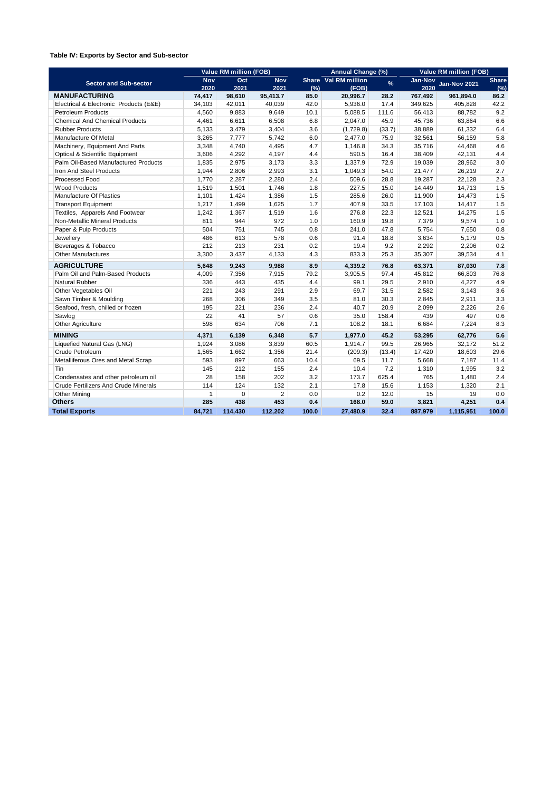#### **Table IV: Exports by Sector and Sub-sector**

|                                             |              | <b>Value RM million (FOB)</b> |                |       | Annual Change (%)    |               | <b>Value RM million (FOB)</b> |                     |              |  |
|---------------------------------------------|--------------|-------------------------------|----------------|-------|----------------------|---------------|-------------------------------|---------------------|--------------|--|
| <b>Sector and Sub-sector</b>                | <b>Nov</b>   | Oct                           | <b>Nov</b>     |       | Share Val RM million | $\frac{9}{6}$ | Jan-Nov                       | <b>Jan-Nov 2021</b> | <b>Share</b> |  |
|                                             | 2020         | 2021                          | 2021           | (% )  | (FOB)                |               | 2020                          |                     | (% )         |  |
| <b>MANUFACTURING</b>                        | 74,417       | 98,610                        | 95,413.7       | 85.0  | 20,996.7             | 28.2          | 767,492                       | 961,894.0           | 86.2         |  |
| Electrical & Electronic Products (E&E)      | 34,103       | 42,011                        | 40,039         | 42.0  | 5,936.0              | 17.4          | 349,625                       | 405,828             | 42.2         |  |
| <b>Petroleum Products</b>                   | 4,560        | 9,883                         | 9,649          | 10.1  | 5,088.5              | 111.6         | 56,413                        | 88,782              | 9.2          |  |
| <b>Chemical And Chemical Products</b>       | 4,461        | 6,611                         | 6,508          | 6.8   | 2,047.0              | 45.9          | 45,736                        | 63,864              | 6.6          |  |
| <b>Rubber Products</b>                      | 5,133        | 3,479                         | 3,404          | 3.6   | (1,729.8)            | (33.7)        | 38,889                        | 61,332              | 6.4          |  |
| Manufacture Of Metal                        | 3,265        | 7,777                         | 5,742          | 6.0   | 2,477.0              | 75.9          | 32,561                        | 56,159              | 5.8          |  |
| Machinery, Equipment And Parts              | 3,348        | 4,740                         | 4,495          | 4.7   | 1,146.8              | 34.3          | 35,716                        | 44,468              | 4.6          |  |
| Optical & Scientific Equipment              | 3,606        | 4,292                         | 4,197          | 4.4   | 590.5                | 16.4          | 38,409                        | 42,131              | 4.4          |  |
| Palm Oil-Based Manufactured Products        | 1,835        | 2,975                         | 3,173          | 3.3   | 1,337.9              | 72.9          | 19,039                        | 28,962              | 3.0          |  |
| Iron And Steel Products                     | 1,944        | 2,806                         | 2,993          | 3.1   | 1,049.3              | 54.0          | 21,477                        | 26,219              | 2.7          |  |
| Processed Food                              | 1,770        | 2,287                         | 2,280          | 2.4   | 509.6                | 28.8          | 19,287                        | 22,128              | 2.3          |  |
| <b>Wood Products</b>                        | 1,519        | 1,501                         | 1,746          | 1.8   | 227.5                | 15.0          | 14,449                        | 14,713              | 1.5          |  |
| <b>Manufacture Of Plastics</b>              | 1,101        | 1,424                         | 1,386          | 1.5   | 285.6                | 26.0          | 11,900                        | 14,473              | 1.5          |  |
| <b>Transport Equipment</b>                  | 1,217        | 1,499                         | 1,625          | 1.7   | 407.9                | 33.5          | 17,103                        | 14,417              | 1.5          |  |
| Textiles, Apparels And Footwear             | 1,242        | 1,367                         | 1,519          | 1.6   | 276.8                | 22.3          | 12,521                        | 14,275              | 1.5          |  |
| Non-Metallic Mineral Products               | 811          | 944                           | 972            | 1.0   | 160.9                | 19.8          | 7,379                         | 9,574               | 1.0          |  |
| Paper & Pulp Products                       | 504          | 751                           | 745            | 0.8   | 241.0                | 47.8          | 5,754                         | 7,650               | 0.8          |  |
| Jewellery                                   | 486          | 613                           | 578            | 0.6   | 91.4                 | 18.8          | 3,634                         | 5,179               | 0.5          |  |
| Beverages & Tobacco                         | 212          | 213                           | 231            | 0.2   | 19.4                 | 9.2           | 2,292                         | 2,206               | 0.2          |  |
| <b>Other Manufactures</b>                   | 3,300        | 3,437                         | 4,133          | 4.3   | 833.3                | 25.3          | 35,307                        | 39,534              | 4.1          |  |
| <b>AGRICULTURE</b>                          | 5.648        | 9,243                         | 9,988          | 8.9   | 4,339.2              | 76.8          | 63,371                        | 87,030              | 7.8          |  |
| Palm Oil and Palm-Based Products            | 4,009        | 7,356                         | 7,915          | 79.2  | 3,905.5              | 97.4          | 45,812                        | 66,803              | 76.8         |  |
| <b>Natural Rubber</b>                       | 336          | 443                           | 435            | 4.4   | 99.1                 | 29.5          | 2,910                         | 4,227               | 4.9          |  |
| Other Vegetables Oil                        | 221          | 243                           | 291            | 2.9   | 69.7                 | 31.5          | 2,582                         | 3,143               | 3.6          |  |
| Sawn Timber & Moulding                      | 268          | 306                           | 349            | 3.5   | 81.0                 | 30.3          | 2,845                         | 2,911               | 3.3          |  |
| Seafood, fresh, chilled or frozen           | 195          | 221                           | 236            | 2.4   | 40.7                 | 20.9          | 2,099                         | 2,226               | 2.6          |  |
| Sawlog                                      | 22           | 41                            | 57             | 0.6   | 35.0                 | 158.4         | 439                           | 497                 | 0.6          |  |
| <b>Other Agriculture</b>                    | 598          | 634                           | 706            | 7.1   | 108.2                | 18.1          | 6,684                         | 7,224               | 8.3          |  |
| <b>MINING</b>                               | 4,371        | 6,139                         | 6,348          | 5.7   | 1,977.0              | 45.2          | 53,295                        | 62,776              | 5.6          |  |
| Liquefied Natural Gas (LNG)                 | 1,924        | 3,086                         | 3,839          | 60.5  | 1,914.7              | 99.5          | 26,965                        | 32,172              | 51.2         |  |
| Crude Petroleum                             | 1,565        | 1,662                         | 1,356          | 21.4  | (209.3)              | (13.4)        | 17,420                        | 18,603              | 29.6         |  |
| Metalliferous Ores and Metal Scrap          | 593          | 897                           | 663            | 10.4  | 69.5                 | 11.7          | 5,668                         | 7,187               | 11.4         |  |
| Tin                                         | 145          | 212                           | 155            | 2.4   | 10.4                 | 7.2           | 1,310                         | 1,995               | 3.2          |  |
| Condensates and other petroleum oil         | 28           | 158                           | 202            | 3.2   | 173.7                | 625.4         | 765                           | 1,480               | 2.4          |  |
| <b>Crude Fertilizers And Crude Minerals</b> | 114          | 124                           | 132            | 2.1   | 17.8                 | 15.6          | 1,153                         | 1,320               | 2.1          |  |
| <b>Other Mining</b>                         | $\mathbf{1}$ | $\mathbf 0$                   | $\overline{2}$ | 0.0   | 0.2                  | 12.0          | 15                            | 19                  | 0.0          |  |
| <b>Others</b>                               | 285          | 438                           | 453            | 0.4   | 168.0                | 59.0          | 3,821                         | 4,251               | 0.4          |  |
| <b>Total Exports</b>                        | 84.721       | 114.430                       | 112.202        | 100.0 | 27.480.9             | 32.4          | 887,979                       | 1,115,951           | 100.0        |  |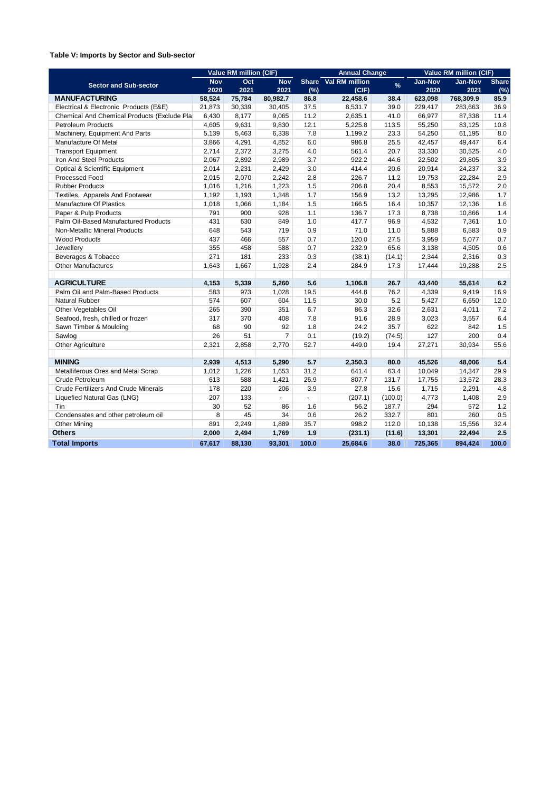#### **Table V: Imports by Sector and Sub-sector**

|                                             |            | Value RM million (CIF) |                |       | <b>Annual Change</b> |               | Value RM million (CIF) |                |              |  |
|---------------------------------------------|------------|------------------------|----------------|-------|----------------------|---------------|------------------------|----------------|--------------|--|
| <b>Sector and Sub-sector</b>                | <b>Nov</b> | Oct                    | <b>Nov</b>     |       | Share Val RM million | $\frac{9}{6}$ | <b>Jan-Nov</b>         | <b>Jan-Nov</b> | <b>Share</b> |  |
|                                             | 2020       | 2021                   | 2021           | (%)   | (CIF)                |               | 2020                   | 2021           | (%)          |  |
| <b>MANUFACTURING</b>                        | 58,524     | 75,784                 | 80,982.7       | 86.8  | 22,458.6             | 38.4          | 623,098                | 768,309.9      | 85.9         |  |
| Electrical & Electronic Products (E&E)      | 21,873     | 30,339                 | 30,405         | 37.5  | 8,531.7              | 39.0          | 229,417                | 283,663        | 36.9         |  |
| Chemical And Chemical Products (Exclude Pla | 6,430      | 8,177                  | 9,065          | 11.2  | 2,635.1              | 41.0          | 66,977                 | 87,338         | 11.4         |  |
| <b>Petroleum Products</b>                   | 4,605      | 9,631                  | 9,830          | 12.1  | 5,225.8              | 113.5         | 55,250                 | 83,125         | 10.8         |  |
| Machinery, Equipment And Parts              | 5,139      | 5,463                  | 6,338          | 7.8   | 1,199.2              | 23.3          | 54,250                 | 61,195         | 8.0          |  |
| Manufacture Of Metal                        | 3,866      | 4,291                  | 4,852          | 6.0   | 986.8                | 25.5          | 42,457                 | 49,447         | 6.4          |  |
| <b>Transport Equipment</b>                  | 2,714      | 2,372                  | 3,275          | 4.0   | 561.4                | 20.7          | 33,330                 | 30,525         | 4.0          |  |
| Iron And Steel Products                     | 2,067      | 2,892                  | 2,989          | 3.7   | 922.2                | 44.6          | 22,502                 | 29,805         | 3.9          |  |
| Optical & Scientific Equipment              | 2,014      | 2,231                  | 2,429          | 3.0   | 414.4                | 20.6          | 20,914                 | 24,237         | 3.2          |  |
| Processed Food                              | 2,015      | 2,070                  | 2,242          | 2.8   | 226.7                | 11.2          | 19,753                 | 22,284         | 2.9          |  |
| <b>Rubber Products</b>                      | 1,016      | 1,216                  | 1,223          | 1.5   | 206.8                | 20.4          | 8,553                  | 15,572         | 2.0          |  |
| Textiles, Apparels And Footwear             | 1,192      | 1,193                  | 1,348          | 1.7   | 156.9                | 13.2          | 13,295                 | 12,986         | 1.7          |  |
| Manufacture Of Plastics                     | 1,018      | 1,066                  | 1,184          | 1.5   | 166.5                | 16.4          | 10,357                 | 12,136         | 1.6          |  |
| Paper & Pulp Products                       | 791        | 900                    | 928            | 1.1   | 136.7                | 17.3          | 8,738                  | 10,866         | 1.4          |  |
| Palm Oil-Based Manufactured Products        | 431        | 630                    | 849            | 1.0   | 417.7                | 96.9          | 4,532                  | 7,361          | 1.0          |  |
| Non-Metallic Mineral Products               | 648        | 543                    | 719            | 0.9   | 71.0                 | 11.0          | 5,888                  | 6,583          | 0.9          |  |
| <b>Wood Products</b>                        | 437        | 466                    | 557            | 0.7   | 120.0                | 27.5          | 3,959                  | 5,077          | 0.7          |  |
| Jewellery                                   | 355        | 458                    | 588            | 0.7   | 232.9                | 65.6          | 3,138                  | 4,505          | 0.6          |  |
| Beverages & Tobacco                         | 271        | 181                    | 233            | 0.3   | (38.1)               | (14.1)        | 2,344                  | 2,316          | 0.3          |  |
| <b>Other Manufactures</b>                   | 1,643      | 1,667                  | 1,928          | 2.4   | 284.9                | 17.3          | 17,444                 | 19,288         | 2.5          |  |
|                                             |            |                        |                |       |                      |               |                        |                |              |  |
| <b>AGRICULTURE</b>                          | 4,153      | 5,339                  | 5,260          | 5.6   | 1,106.8              | 26.7          | 43,440                 | 55,614         | 6.2          |  |
| Palm Oil and Palm-Based Products            | 583        | 973                    | 1,028          | 19.5  | 444.8                | 76.2          | 4,339                  | 9,419          | 16.9         |  |
| <b>Natural Rubber</b>                       | 574        | 607                    | 604            | 11.5  | 30.0                 | 5.2           | 5,427                  | 6,650          | 12.0         |  |
| Other Vegetables Oil                        | 265        | 390                    | 351            | 6.7   | 86.3                 | 32.6          | 2,631                  | 4,011          | 7.2          |  |
| Seafood, fresh, chilled or frozen           | 317        | 370                    | 408            | 7.8   | 91.6                 | 28.9          | 3,023                  | 3,557          | 6.4          |  |
| Sawn Timber & Moulding                      | 68         | 90                     | 92             | 1.8   | 24.2                 | 35.7          | 622                    | 842            | 1.5          |  |
| Sawlog                                      | 26         | 51                     | $\overline{7}$ | 0.1   | (19.2)               | (74.5)        | 127                    | 200            | 0.4          |  |
| Other Agriculture                           | 2,321      | 2,858                  | 2,770          | 52.7  | 449.0                | 19.4          | 27,271                 | 30,934         | 55.6         |  |
|                                             |            |                        |                |       |                      |               |                        |                |              |  |
| <b>MINING</b>                               | 2,939      | 4,513                  | 5,290          | 5.7   | 2,350.3              | 80.0          | 45,526                 | 48,006         | 5.4          |  |
| Metalliferous Ores and Metal Scrap          | 1,012      | 1,226                  | 1,653          | 31.2  | 641.4                | 63.4          | 10,049                 | 14,347         | 29.9         |  |
| Crude Petroleum                             | 613        | 588                    | 1,421          | 26.9  | 807.7                | 131.7         | 17,755                 | 13,572         | 28.3         |  |
| <b>Crude Fertilizers And Crude Minerals</b> | 178        | 220                    | 206            | 3.9   | 27.8                 | 15.6          | 1,715                  | 2,291          | 4.8          |  |
| Liquefied Natural Gas (LNG)                 | 207        | 133                    | ÷.             | ÷.    | (207.1)              | (100.0)       | 4,773                  | 1,408          | 2.9          |  |
| Tin                                         | 30         | 52                     | 86             | 1.6   | 56.2                 | 187.7         | 294                    | 572            | 1.2          |  |
| Condensates and other petroleum oil         | 8          | 45                     | 34             | 0.6   | 26.2                 | 332.7         | 801                    | 260            | 0.5          |  |
| <b>Other Mining</b>                         | 891        | 2,249                  | 1,889          | 35.7  | 998.2                | 112.0         | 10,138                 | 15,556         | 32.4         |  |
| <b>Others</b>                               | 2,000      | 2,494                  | 1,769          | 1.9   | (231.1)              | (11.6)        | 13,301                 | 22,494         | 2.5          |  |
| <b>Total Imports</b>                        | 67,617     | 88,130                 | 93,301         | 100.0 | 25,684.6             | 38.0          | 725,365                | 894,424        | 100.0        |  |